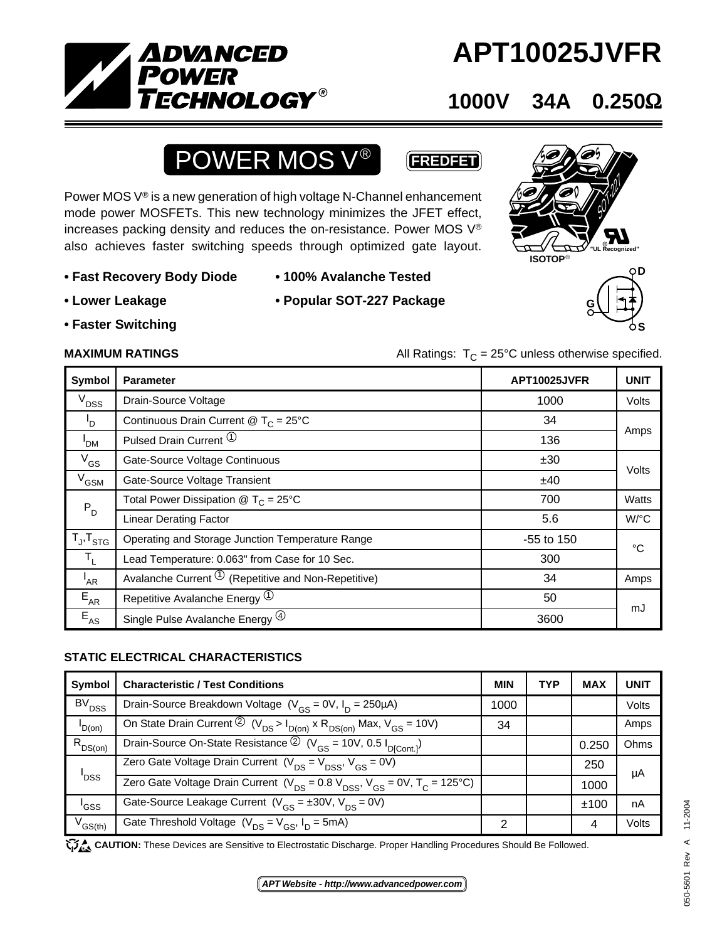

# **APT10025JVFR**

### **1000V 34A 0.250**Ω

**S**

# **POWER MOS V<sup>®</sup> (FREDFET)**

Power MOS V® is a new generation of high voltage N-Channel enhancement mode power MOSFETs. This new technology minimizes the JFET effect, increases packing density and reduces the on-resistance. Power MOS V® also achieves faster switching speeds through optimized gate layout.

- **Fast Recovery Body Diode 100% Avalanche Tested**
- 

- 
- **Faster Switching**
- **Lower Leakage Popular SOT-227 Package**



**S**

**S**

**MAXIMUM RATINGS** MAXIMUM RATINGS All Ratings:  $T_c = 25^\circ \text{C}$  unless otherwise specified.

| Symbol                                               | <b>Parameter</b>                                          | APT10025JVFR | <b>UNIT</b>  |  |
|------------------------------------------------------|-----------------------------------------------------------|--------------|--------------|--|
| $V_{DSS}$                                            | Drain-Source Voltage                                      | 1000         | <b>Volts</b> |  |
| $\mathsf{I}_{\mathsf{D}}$                            | Continuous Drain Current @ $T_c = 25^{\circ}$ C           | 34           | Amps         |  |
| 'DM                                                  | Pulsed Drain Current <sup>(1)</sup>                       | 136          |              |  |
| $V_{GS}$                                             | Gate-Source Voltage Continuous                            | ±30          |              |  |
| $V$ <sub>GSM</sub>                                   | Gate-Source Voltage Transient                             | ±40          | Volts        |  |
| $P_D$                                                | Total Power Dissipation $\circledR$ T <sub>C</sub> = 25°C | 700          | Watts        |  |
|                                                      | <b>Linear Derating Factor</b>                             | 5.6          | W/°C         |  |
| $\mathsf{T}_{\mathsf{J}}, \mathsf{T}_{\mathsf{STG}}$ | Operating and Storage Junction Temperature Range          | -55 to 150   | °C           |  |
| $\mathsf{T}_1$                                       | Lead Temperature: 0.063" from Case for 10 Sec.            | 300          |              |  |
| <sup>I</sup> AR                                      | Avalanche Current $\Phi$ (Repetitive and Non-Repetitive)  | 34           | Amps         |  |
| $E_{AR}$                                             | Repetitive Avalanche Energy <sup>1</sup>                  | 50           |              |  |
| $E_{AS}$                                             | Single Pulse Avalanche Energy (4)                         | 3600         | mJ           |  |

### **STATIC ELECTRICAL CHARACTERISTICS**

| Symbol            | <b>Characteristic / Test Conditions</b>                                                                                | <b>MIN</b> | <b>TYP</b> | <b>MAX</b> | UNIT  |
|-------------------|------------------------------------------------------------------------------------------------------------------------|------------|------------|------------|-------|
| BV <sub>DSS</sub> | Drain-Source Breakdown Voltage ( $V_{CS}$ = 0V, $I_D$ = 250µA)                                                         | 1000       |            |            | Volts |
| $I_{D(0n)}$       | On State Drain Current $\overline{Q}$ (V <sub>DS</sub> > $I_{D(on)}$ x R <sub>DS(on)</sub> Max, V <sub>GS</sub> = 10V) | 34         |            |            | Amps  |
| $R_{DS(on)}$      | Drain-Source On-State Resistance $\textcircled{2}$ (V <sub>GS</sub> = 10V, 0.5 I <sub>D[Cont.]</sub> )                 |            |            | 0.250      | Ohms  |
| ' <sub>DSS</sub>  | Zero Gate Voltage Drain Current ( $V_{DS} = V_{DSS}$ , $V_{GS} = 0V$ )                                                 |            |            | 250        | μA    |
|                   | Zero Gate Voltage Drain Current ( $V_{DS}$ = 0.8 $V_{DSS}$ , $V_{GS}$ = 0V, T <sub>C</sub> = 125°C)                    |            |            | 1000       |       |
| 'GSS              | Gate-Source Leakage Current ( $V_{CS} = \pm 30V$ , $V_{DS} = 0V$ )                                                     |            |            | ±100       | nA    |
| $V_{GS(th)}$      | Gate Threshold Voltage $(V_{DS} = V_{GS}, I_D = 5mA)$                                                                  | ⌒          |            | 4          | Volts |

CAUTION: These Devices are Sensitive to Electrostatic Discharge. Proper Handling Procedures Should Be Followed.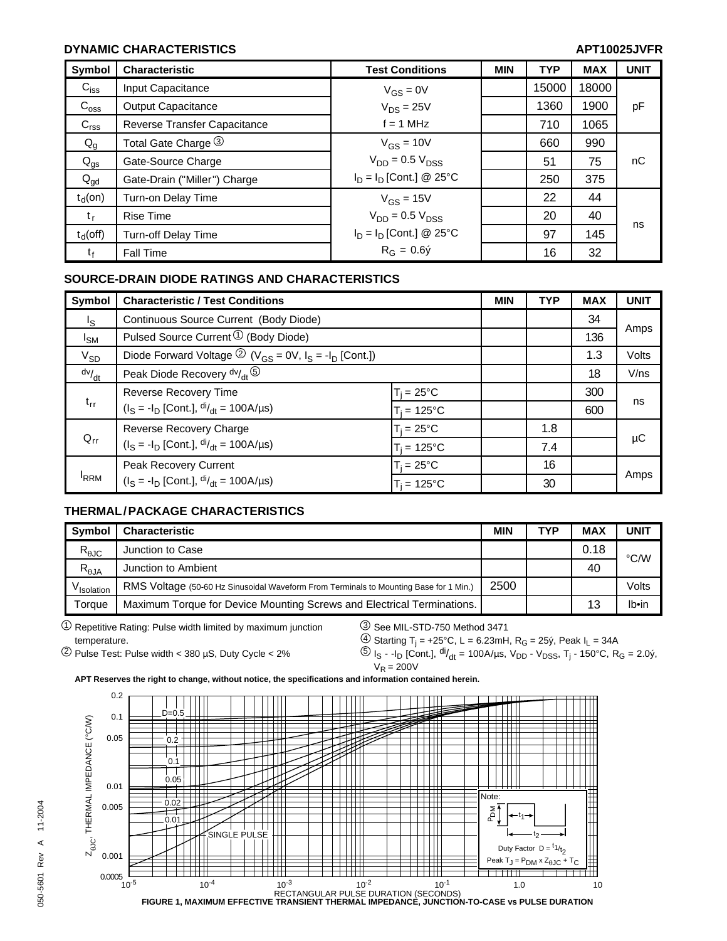### **DYNAMIC CHARACTERISTICS** APT10025JVFR

| Symbol           | <b>Characteristic</b>        | <b>Test Conditions</b>     | <b>MIN</b> | <b>TYP</b> | <b>MAX</b> | <b>UNIT</b> |
|------------------|------------------------------|----------------------------|------------|------------|------------|-------------|
| $C_{iss}$        | Input Capacitance            | $V_{GS} = 0V$              |            | 15000      | 18000      |             |
| $C_{\rm oss}$    | Output Capacitance           | $V_{DS} = 25V$             |            | 1360       | 1900       | pF          |
| C <sub>rss</sub> | Reverse Transfer Capacitance | $f = 1$ MHz                |            | 710        | 1065       |             |
| $Q_g$            | Total Gate Charge 3          | $V_{GS} = 10V$             |            | 660        | 990        |             |
| $Q_{gs}$         | Gate-Source Charge           | $V_{DD}$ = 0.5 $V_{DSS}$   |            | 51         | 75         | nC          |
| $Q_{\text{gd}}$  | Gate-Drain ("Miller") Charge | $I_D = I_D$ [Cont.] @ 25°C |            | 250        | 375        |             |
| $t_d$ (on)       | Turn-on Delay Time           | $V_{GS} = 15V$             |            | 22         | 44         |             |
| $t_{r}$          | <b>Rise Time</b>             | $V_{DD}$ = 0.5 $V_{DSS}$   |            | 20         | 40         | ns          |
| $t_d$ (off)      | <b>Turn-off Delay Time</b>   | $I_D = I_D$ [Cont.] @ 25°C |            | 97         | 145        |             |
| τŧ               | <b>Fall Time</b>             | $R_G = 0.6\dot{y}$         |            | 16         | 32         |             |

#### **SOURCE-DRAIN DIODE RATINGS AND CHARACTERISTICS**

| Symbol      | <b>Characteristic / Test Conditions</b>                                                                  |                     | <b>MIN</b> | <b>TYP</b> | <b>MAX</b> | <b>UNIT</b> |
|-------------|----------------------------------------------------------------------------------------------------------|---------------------|------------|------------|------------|-------------|
| $I_{\rm S}$ | Continuous Source Current (Body Diode)                                                                   |                     |            |            | 34         |             |
| $I_{SM}$    | Pulsed Source Current $\mathcal{D}$ (Body Diode)                                                         |                     |            |            | 136        | Amps        |
| $V_{SD}$    | Diode Forward Voltage $\textcircled{2}$ (V <sub>GS</sub> = 0V, I <sub>S</sub> = -I <sub>D</sub> [Cont.]) |                     |            |            | 1.3        | Volts       |
| dv/dt       | Peak Diode Recovery dv/ <sub>dt</sub> 5                                                                  |                     |            |            | 18         | V/ns        |
|             | Reverse Recovery Time                                                                                    | $T_i = 25^{\circ}C$ |            |            | 300        |             |
| $t_{rr}$    | $(I_S = -I_D$ [Cont.], $di/_{dt} = 100A/\mu s$ )                                                         | $T_i = 125$ °C      |            |            | 600        | ns          |
| $Q_{rr}$    | Reverse Recovery Charge                                                                                  | $T_i = 25^{\circ}C$ |            | 1.8        |            |             |
|             | $(I_S = -I_D$ [Cont.], $di/dt = 100A/\mu s$ )                                                            | $T_i = 125$ °C      |            | 7.4        |            | μC          |
| <b>IRRM</b> | Peak Recovery Current<br>$(I_S = -I_D$ [Cont.], $di/_{dt} = 100A/\mu s$ )                                | $T_i = 25^{\circ}C$ |            | 16         |            |             |
|             |                                                                                                          | $T_i = 125$ °C      |            | 30         |            | Amps        |

#### **THERMAL/PACKAGE CHARACTERISTICS**

| <b>Symbol</b>                             | <b>Characteristic</b>                                                                 | <b>MIN</b> | <b>TYP</b> | <b>MAX</b> | UNIT  |
|-------------------------------------------|---------------------------------------------------------------------------------------|------------|------------|------------|-------|
| $\mathsf{R}_{\theta\mathsf{J}\mathsf{C}}$ | Junction to Case                                                                      |            |            | 0.18       | °C/W  |
| $R_{\theta JA}$                           | Junction to Ambient                                                                   |            |            | 40         |       |
| V <sub>Isolation</sub>                    | RMS Voltage (50-60 Hz Sinusoidal Waveform From Terminals to Mounting Base for 1 Min.) | 2500       |            |            | Volts |
| Toraue                                    | Maximum Torque for Device Mounting Screws and Electrical Terminations.                |            |            | 13         | Ib•in |

1 17 Repetitive Rating: Pulse width limited by maximum junction 3 See MIL-STD-750 Method 3471 temperature.  $\bigcirc$  Starting T<sub>j</sub> = +25°C, L = 6.23mH, R<sub>G</sub> = 25ý, Peak I<sub>L</sub> = 34A

 $^{(2)}$  Pulse Test: Pulse width < 380 µS, Duty Cycle < 2%  $^{(5)}$  I<sub>S</sub> - -I<sub>D</sub> [Cont.], <sup>di</sup>/<sub>dt</sub> = 100A/µs, V<sub>DD</sub> - V<sub>DSS</sub>, T<sub>j</sub> - 150°C, R<sub>G</sub> = 2.0ý,  $V_R = 200V$ 

**APT Reserves the right to change, without notice, the specifications and information contained herein.**

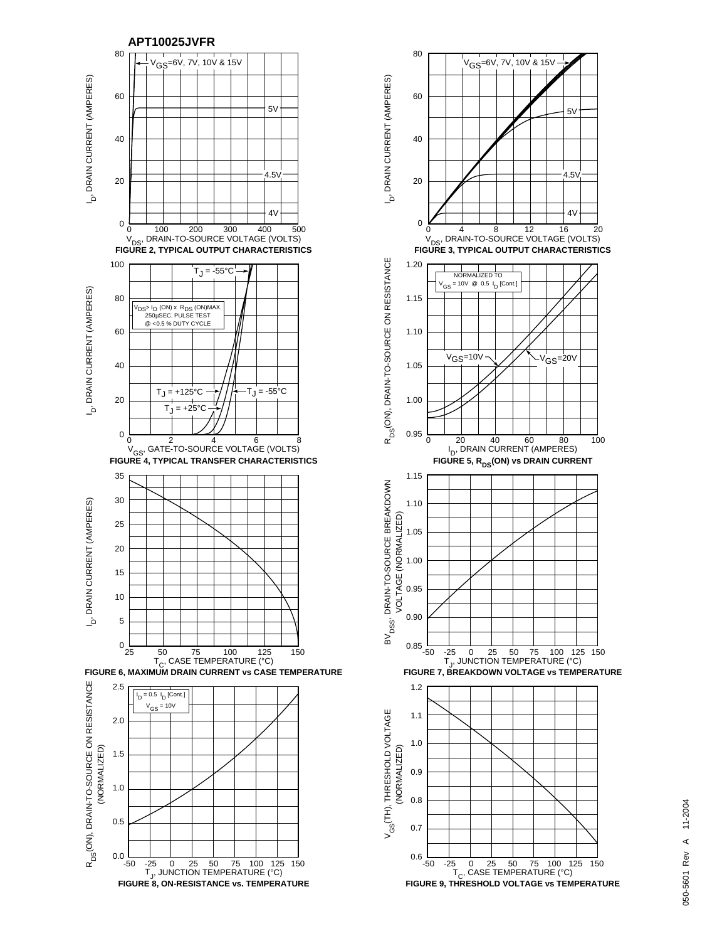